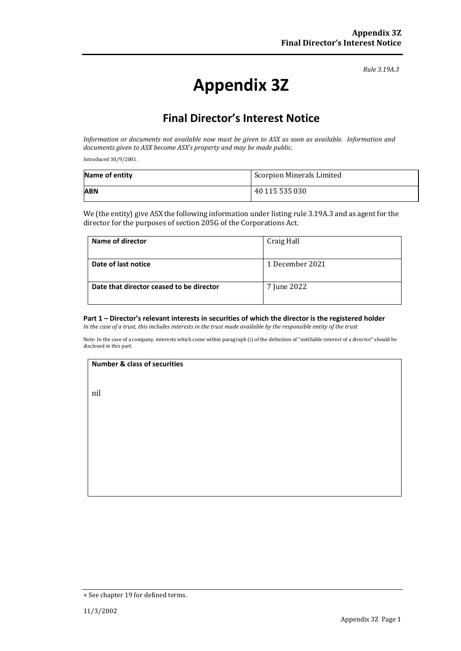*Rule 3.19A.3*

# **Appendix 3Z**

## **Final Director's Interest Notice**

*Information or documents not available now must be given to ASX as soon as available. Information and documents given to ASX become ASX's property and may be made public.*

Introduced 30/9/2001.

| Name of entity | Scorpion Minerals Limited |
|----------------|---------------------------|
| <b>ABN</b>     | 40 115 535 030            |

We (the entity) give ASX the following information under listing rule 3.19A.3 and as agent for the director for the purposes of section 205G of the Corporations Act.

| Name of director                         | Craig Hall      |
|------------------------------------------|-----------------|
| Date of last notice                      | 1 December 2021 |
| Date that director ceased to be director | 7 June 2022     |

#### **Part 1 – Director's relevant interests in securities of which the director is the registered holder**

*In the case of a trust, this includes interests in the trust made available by the responsible entity of the trust*

Note: In the case of a company, interests which come within paragraph (i) of the definition of "notifiable interest of a director" should be disclosed in this part.

#### **Number & class of securities**

nil

<sup>+</sup> See chapter 19 for defined terms.